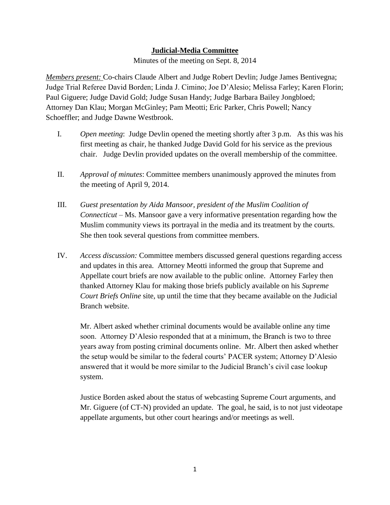## **Judicial-Media Committee**

Minutes of the meeting on Sept. 8, 2014

*Members present:* Co-chairs Claude Albert and Judge Robert Devlin; Judge James Bentivegna; Judge Trial Referee David Borden; Linda J. Cimino; Joe D'Alesio; Melissa Farley; Karen Florin; Paul Giguere; Judge David Gold; Judge Susan Handy; Judge Barbara Bailey Jongbloed; Attorney Dan Klau; Morgan McGinley; Pam Meotti; Eric Parker, Chris Powell; Nancy Schoeffler; and Judge Dawne Westbrook.

- I. *Open meeting*: Judge Devlin opened the meeting shortly after 3 p.m. As this was his first meeting as chair, he thanked Judge David Gold for his service as the previous chair. Judge Devlin provided updates on the overall membership of the committee.
- II. *Approval of minutes*: Committee members unanimously approved the minutes from the meeting of April 9, 2014.
- III. *Guest presentation by Aida Mansoor, president of the Muslim Coalition of Connecticut –* Ms. Mansoor gave a very informative presentation regarding how the Muslim community views its portrayal in the media and its treatment by the courts. She then took several questions from committee members.
- IV. *Access discussion:* Committee members discussed general questions regarding access and updates in this area. Attorney Meotti informed the group that Supreme and Appellate court briefs are now available to the public online. Attorney Farley then thanked Attorney Klau for making those briefs publicly available on his *Supreme Court Briefs Online* site, up until the time that they became available on the Judicial Branch website.

Mr. Albert asked whether criminal documents would be available online any time soon. Attorney D'Alesio responded that at a minimum, the Branch is two to three years away from posting criminal documents online. Mr. Albert then asked whether the setup would be similar to the federal courts' PACER system; Attorney D'Alesio answered that it would be more similar to the Judicial Branch's civil case lookup system.

Justice Borden asked about the status of webcasting Supreme Court arguments, and Mr. Giguere (of CT-N) provided an update. The goal, he said, is to not just videotape appellate arguments, but other court hearings and/or meetings as well.